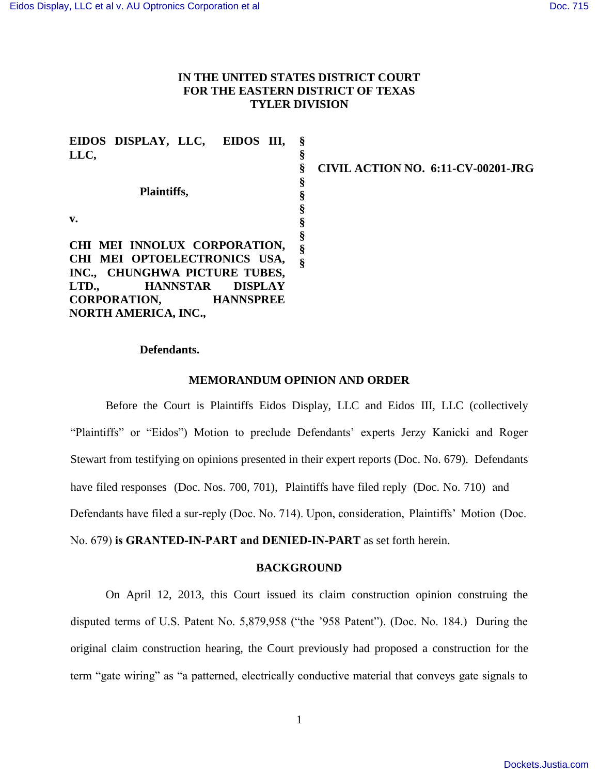# **IN THE UNITED STATES DISTRICT COURT FOR THE EASTERN DISTRICT OF TEXAS TYLER DIVISION**

| EIDOS DISPLAY, LLC, EIDOS III,             |                                    |
|--------------------------------------------|------------------------------------|
| LLC,                                       |                                    |
|                                            | CIVIL ACTION NO. 6:11-CV-00201-JRG |
|                                            |                                    |
| Plaintiffs,                                |                                    |
|                                            |                                    |
| v.                                         |                                    |
|                                            |                                    |
| CHI MEI INNOLUX CORPORATION,               |                                    |
| CHI MEI OPTOELECTRONICS USA,               |                                    |
| INC., CHUNGHWA PICTURE TUBES,              |                                    |
| LTD.,<br><b>HANNSTAR</b><br><b>DISPLAY</b> |                                    |
| <b>CORPORATION,</b><br><b>HANNSPREE</b>    |                                    |
| <b>NORTH AMERICA, INC.,</b>                |                                    |

## **Defendants.**

#### **MEMORANDUM OPINION AND ORDER**

Before the Court is Plaintiffs Eidos Display, LLC and Eidos III, LLC (collectively "Plaintiffs" or "Eidos") Motion to preclude Defendants' experts Jerzy Kanicki and Roger Stewart from testifying on opinions presented in their expert reports (Doc. No. 679). Defendants have filed responses (Doc. Nos. 700, 701), Plaintiffs have filed reply (Doc. No. 710) and Defendants have filed a sur-reply (Doc. No. 714). Upon, consideration, Plaintiffs' Motion (Doc. No. 679) **is GRANTED-IN-PART and DENIED-IN-PART** as set forth herein.

#### **BACKGROUND**

On April 12, 2013, this Court issued its claim construction opinion construing the disputed terms of U.S. Patent No. 5,879,958 ("the '958 Patent"). (Doc. No. 184.) During the original claim construction hearing, the Court previously had proposed a construction for the term "gate wiring" as "a patterned, electrically conductive material that conveys gate signals to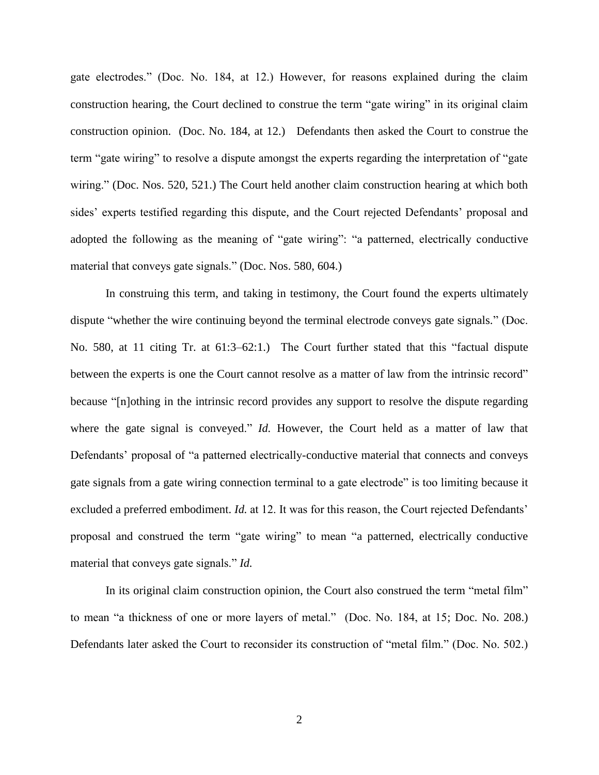gate electrodes." (Doc. No. 184, at 12.) However, for reasons explained during the claim construction hearing, the Court declined to construe the term "gate wiring" in its original claim construction opinion. (Doc. No. 184, at 12.) Defendants then asked the Court to construe the term "gate wiring" to resolve a dispute amongst the experts regarding the interpretation of "gate wiring." (Doc. Nos. 520, 521.) The Court held another claim construction hearing at which both sides' experts testified regarding this dispute, and the Court rejected Defendants' proposal and adopted the following as the meaning of "gate wiring": "a patterned, electrically conductive material that conveys gate signals." (Doc. Nos. 580, 604.)

In construing this term, and taking in testimony, the Court found the experts ultimately dispute "whether the wire continuing beyond the terminal electrode conveys gate signals." (Doc. No. 580, at 11 citing Tr. at 61:3–62:1.) The Court further stated that this "factual dispute between the experts is one the Court cannot resolve as a matter of law from the intrinsic record" because "[n]othing in the intrinsic record provides any support to resolve the dispute regarding where the gate signal is conveyed." *Id.* However, the Court held as a matter of law that Defendants' proposal of "a patterned electrically-conductive material that connects and conveys gate signals from a gate wiring connection terminal to a gate electrode" is too limiting because it excluded a preferred embodiment. *Id.* at 12. It was for this reason, the Court rejected Defendants' proposal and construed the term "gate wiring" to mean "a patterned, electrically conductive material that conveys gate signals." *Id.*

In its original claim construction opinion, the Court also construed the term "metal film" to mean "a thickness of one or more layers of metal." (Doc. No. 184, at 15; Doc. No. 208.) Defendants later asked the Court to reconsider its construction of "metal film." (Doc. No. 502.)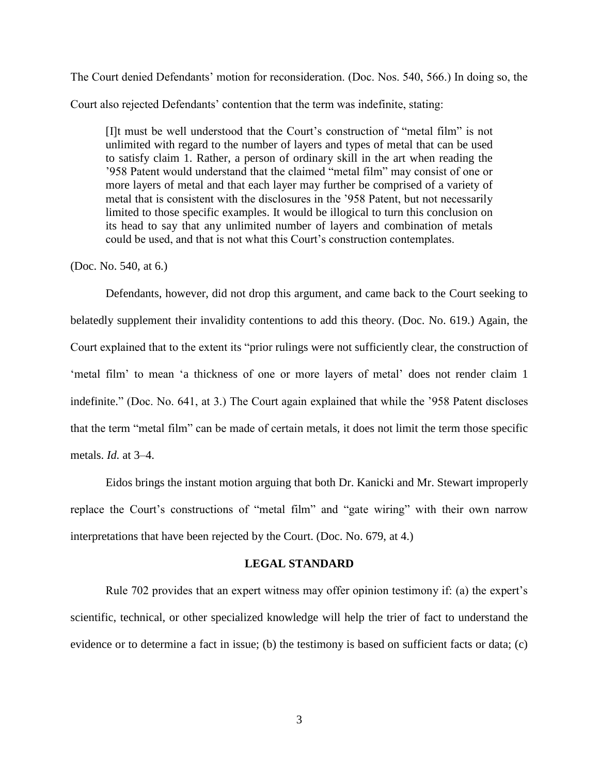The Court denied Defendants' motion for reconsideration. (Doc. Nos. 540, 566.) In doing so, the Court also rejected Defendants' contention that the term was indefinite, stating:

[I]t must be well understood that the Court's construction of "metal film" is not unlimited with regard to the number of layers and types of metal that can be used to satisfy claim 1. Rather, a person of ordinary skill in the art when reading the '958 Patent would understand that the claimed "metal film" may consist of one or more layers of metal and that each layer may further be comprised of a variety of metal that is consistent with the disclosures in the '958 Patent, but not necessarily limited to those specific examples. It would be illogical to turn this conclusion on its head to say that any unlimited number of layers and combination of metals could be used, and that is not what this Court's construction contemplates.

## (Doc. No. 540, at 6.)

Defendants, however, did not drop this argument, and came back to the Court seeking to belatedly supplement their invalidity contentions to add this theory. (Doc. No. 619.) Again, the Court explained that to the extent its "prior rulings were not sufficiently clear, the construction of 'metal film' to mean 'a thickness of one or more layers of metal' does not render claim 1 indefinite." (Doc. No. 641, at 3.) The Court again explained that while the '958 Patent discloses that the term "metal film" can be made of certain metals, it does not limit the term those specific metals. *Id.* at 3–4.

Eidos brings the instant motion arguing that both Dr. Kanicki and Mr. Stewart improperly replace the Court's constructions of "metal film" and "gate wiring" with their own narrow interpretations that have been rejected by the Court. (Doc. No. 679, at 4.)

#### **LEGAL STANDARD**

Rule 702 provides that an expert witness may offer opinion testimony if: (a) the expert's scientific, technical, or other specialized knowledge will help the trier of fact to understand the evidence or to determine a fact in issue; (b) the testimony is based on sufficient facts or data; (c)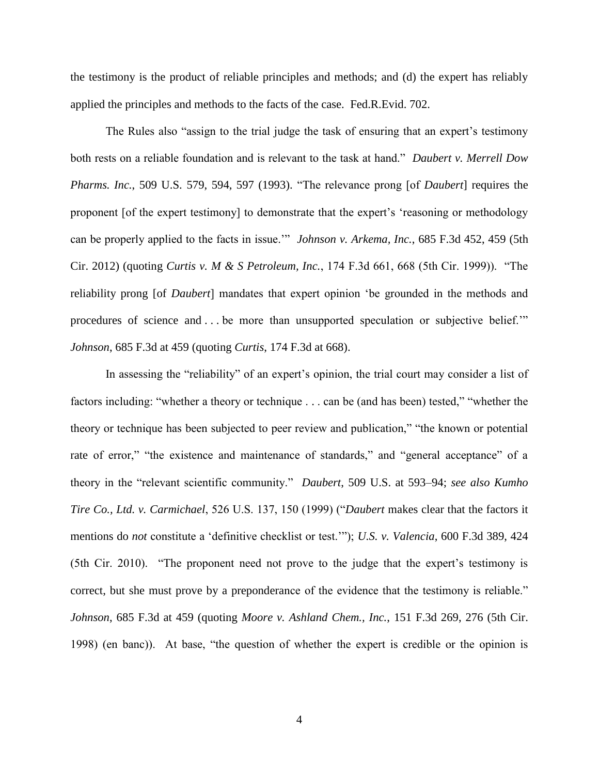the testimony is the product of reliable principles and methods; and (d) the expert has reliably applied the principles and methods to the facts of the case. Fed.R.Evid. 702.

The Rules also "assign to the trial judge the task of ensuring that an expert's testimony both rests on a reliable foundation and is relevant to the task at hand." *Daubert v. Merrell Dow Pharms. Inc.*, 509 U.S. 579, 594, 597 (1993). "The relevance prong [of *Daubert*] requires the proponent [of the expert testimony] to demonstrate that the expert's 'reasoning or methodology can be properly applied to the facts in issue.'" *Johnson v. Arkema, Inc.*, 685 F.3d 452, 459 (5th Cir. 2012) (quoting *Curtis v. M & S Petroleum, Inc.*, 174 F.3d 661, 668 (5th Cir. 1999)). "The reliability prong [of *Daubert*] mandates that expert opinion 'be grounded in the methods and procedures of science and . . . be more than unsupported speculation or subjective belief.'" *Johnson*, 685 F.3d at 459 (quoting *Curtis*, 174 F.3d at 668).

In assessing the "reliability" of an expert's opinion, the trial court may consider a list of factors including: "whether a theory or technique . . . can be (and has been) tested," "whether the theory or technique has been subjected to peer review and publication," "the known or potential rate of error," "the existence and maintenance of standards," and "general acceptance" of a theory in the "relevant scientific community." *Daubert*, 509 U.S. at 593–94; *see also Kumho Tire Co., Ltd. v. Carmichael*, 526 U.S. 137, 150 (1999) ("*Daubert* makes clear that the factors it mentions do *not* constitute a 'definitive checklist or test.'"); *U.S. v. Valencia*, 600 F.3d 389, 424 (5th Cir. 2010). "The proponent need not prove to the judge that the expert's testimony is correct, but she must prove by a preponderance of the evidence that the testimony is reliable." *Johnson*, 685 F.3d at 459 (quoting *Moore v. Ashland Chem., Inc.*, 151 F.3d 269, 276 (5th Cir. 1998) (en banc)). At base, "the question of whether the expert is credible or the opinion is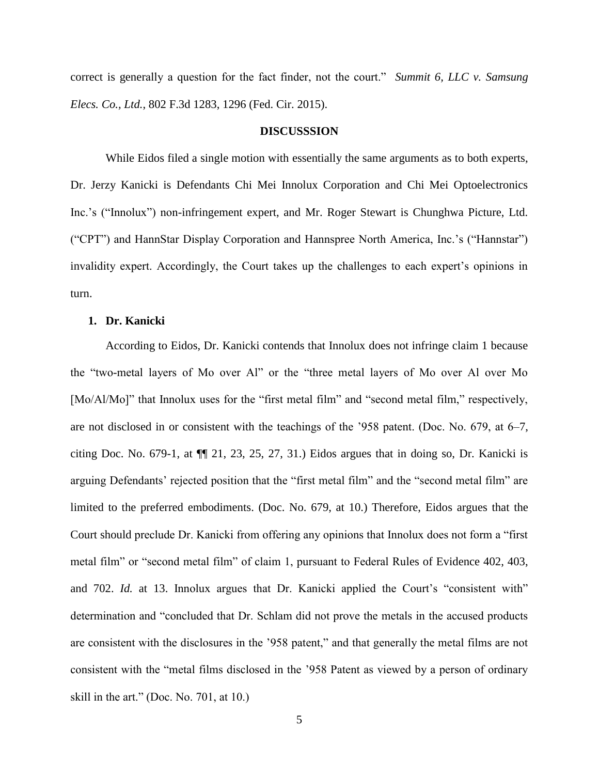correct is generally a question for the fact finder, not the court." *Summit 6, LLC v. Samsung Elecs. Co., Ltd.*, 802 F.3d 1283, 1296 (Fed. Cir. 2015).

#### **DISCUSSSION**

While Eidos filed a single motion with essentially the same arguments as to both experts, Dr. Jerzy Kanicki is Defendants Chi Mei Innolux Corporation and Chi Mei Optoelectronics Inc.'s ("Innolux") non-infringement expert, and Mr. Roger Stewart is Chunghwa Picture, Ltd. ("CPT") and HannStar Display Corporation and Hannspree North America, Inc.'s ("Hannstar") invalidity expert. Accordingly, the Court takes up the challenges to each expert's opinions in turn.

### **1. Dr. Kanicki**

According to Eidos, Dr. Kanicki contends that Innolux does not infringe claim 1 because the "two-metal layers of Mo over Al" or the "three metal layers of Mo over Al over Mo [Mo/Al/Mo]" that Innolux uses for the "first metal film" and "second metal film," respectively, are not disclosed in or consistent with the teachings of the '958 patent. (Doc. No. 679, at 6–7, citing Doc. No. 679-1, at  $\P$  21, 23, 25, 27, 31.) Eidos argues that in doing so, Dr. Kanicki is arguing Defendants' rejected position that the "first metal film" and the "second metal film" are limited to the preferred embodiments. (Doc. No. 679, at 10.) Therefore, Eidos argues that the Court should preclude Dr. Kanicki from offering any opinions that Innolux does not form a "first metal film" or "second metal film" of claim 1, pursuant to Federal Rules of Evidence 402, 403, and 702. *Id.* at 13. Innolux argues that Dr. Kanicki applied the Court's "consistent with" determination and "concluded that Dr. Schlam did not prove the metals in the accused products are consistent with the disclosures in the '958 patent," and that generally the metal films are not consistent with the "metal films disclosed in the '958 Patent as viewed by a person of ordinary skill in the art." (Doc. No. 701, at 10.)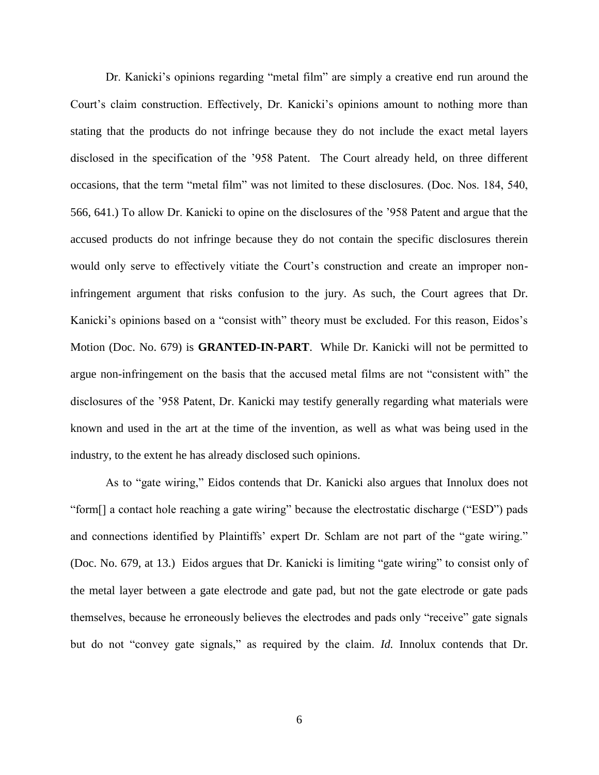Dr. Kanicki's opinions regarding "metal film" are simply a creative end run around the Court's claim construction. Effectively, Dr. Kanicki's opinions amount to nothing more than stating that the products do not infringe because they do not include the exact metal layers disclosed in the specification of the '958 Patent. The Court already held, on three different occasions, that the term "metal film" was not limited to these disclosures. (Doc. Nos. 184, 540, 566, 641.) To allow Dr. Kanicki to opine on the disclosures of the '958 Patent and argue that the accused products do not infringe because they do not contain the specific disclosures therein would only serve to effectively vitiate the Court's construction and create an improper noninfringement argument that risks confusion to the jury. As such, the Court agrees that Dr. Kanicki's opinions based on a "consist with" theory must be excluded. For this reason, Eidos's Motion (Doc. No. 679) is **GRANTED-IN-PART**. While Dr. Kanicki will not be permitted to argue non-infringement on the basis that the accused metal films are not "consistent with" the disclosures of the '958 Patent, Dr. Kanicki may testify generally regarding what materials were known and used in the art at the time of the invention, as well as what was being used in the industry, to the extent he has already disclosed such opinions.

As to "gate wiring," Eidos contends that Dr. Kanicki also argues that Innolux does not "form[] a contact hole reaching a gate wiring" because the electrostatic discharge ("ESD") pads and connections identified by Plaintiffs' expert Dr. Schlam are not part of the "gate wiring." (Doc. No. 679, at 13.) Eidos argues that Dr. Kanicki is limiting "gate wiring" to consist only of the metal layer between a gate electrode and gate pad, but not the gate electrode or gate pads themselves, because he erroneously believes the electrodes and pads only "receive" gate signals but do not "convey gate signals," as required by the claim. *Id.* Innolux contends that Dr.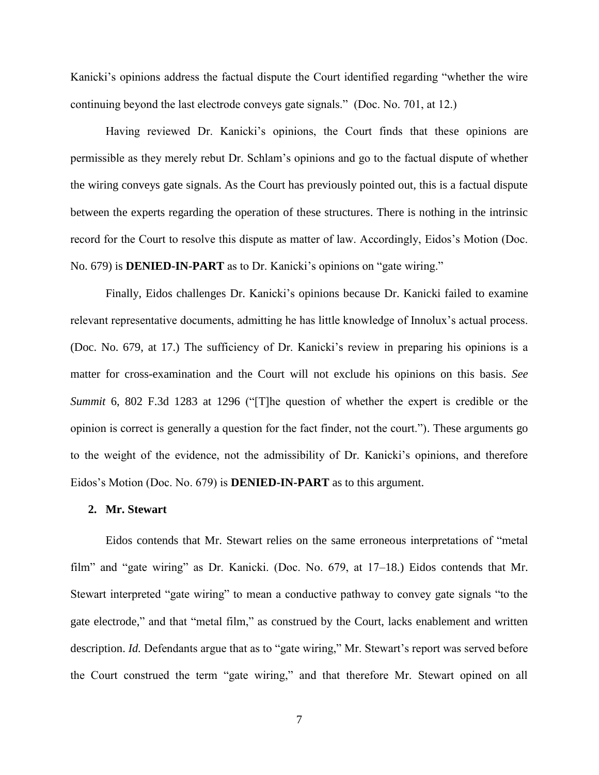Kanicki's opinions address the factual dispute the Court identified regarding "whether the wire continuing beyond the last electrode conveys gate signals." (Doc. No. 701, at 12.)

Having reviewed Dr. Kanicki's opinions, the Court finds that these opinions are permissible as they merely rebut Dr. Schlam's opinions and go to the factual dispute of whether the wiring conveys gate signals. As the Court has previously pointed out, this is a factual dispute between the experts regarding the operation of these structures. There is nothing in the intrinsic record for the Court to resolve this dispute as matter of law. Accordingly, Eidos's Motion (Doc. No. 679) is **DENIED-IN-PART** as to Dr. Kanicki's opinions on "gate wiring."

Finally, Eidos challenges Dr. Kanicki's opinions because Dr. Kanicki failed to examine relevant representative documents, admitting he has little knowledge of Innolux's actual process. (Doc. No. 679, at 17.) The sufficiency of Dr. Kanicki's review in preparing his opinions is a matter for cross-examination and the Court will not exclude his opinions on this basis. *See Summit* 6, 802 F.3d 1283 at 1296 ("[T]he question of whether the expert is credible or the opinion is correct is generally a question for the fact finder, not the court."). These arguments go to the weight of the evidence, not the admissibility of Dr. Kanicki's opinions, and therefore Eidos's Motion (Doc. No. 679) is **DENIED-IN-PART** as to this argument.

#### **2. Mr. Stewart**

Eidos contends that Mr. Stewart relies on the same erroneous interpretations of "metal film" and "gate wiring" as Dr. Kanicki. (Doc. No. 679, at 17–18.) Eidos contends that Mr. Stewart interpreted "gate wiring" to mean a conductive pathway to convey gate signals "to the gate electrode," and that "metal film," as construed by the Court, lacks enablement and written description. *Id.* Defendants argue that as to "gate wiring," Mr. Stewart's report was served before the Court construed the term "gate wiring," and that therefore Mr. Stewart opined on all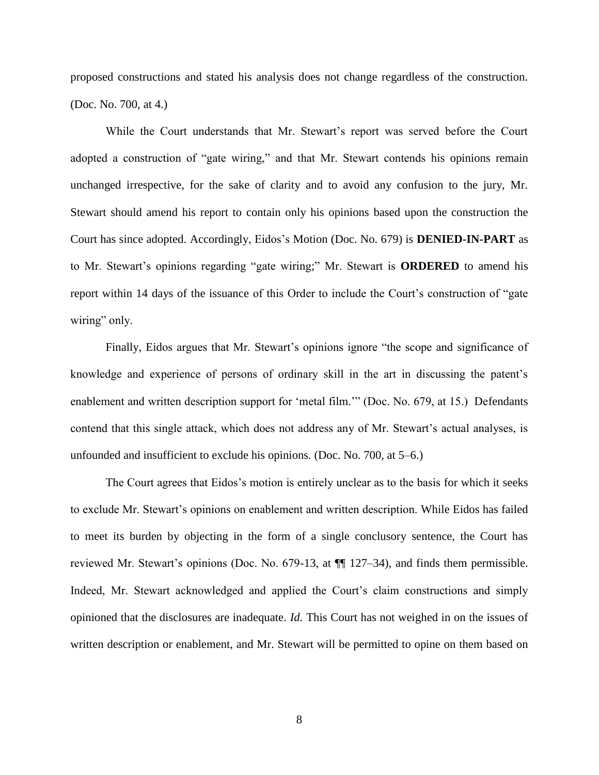proposed constructions and stated his analysis does not change regardless of the construction. (Doc. No. 700, at 4.)

While the Court understands that Mr. Stewart's report was served before the Court adopted a construction of "gate wiring," and that Mr. Stewart contends his opinions remain unchanged irrespective, for the sake of clarity and to avoid any confusion to the jury, Mr. Stewart should amend his report to contain only his opinions based upon the construction the Court has since adopted. Accordingly, Eidos's Motion (Doc. No. 679) is **DENIED-IN-PART** as to Mr. Stewart's opinions regarding "gate wiring;" Mr. Stewart is **ORDERED** to amend his report within 14 days of the issuance of this Order to include the Court's construction of "gate wiring" only.

Finally, Eidos argues that Mr. Stewart's opinions ignore "the scope and significance of knowledge and experience of persons of ordinary skill in the art in discussing the patent's enablement and written description support for 'metal film.'" (Doc. No. 679, at 15.) Defendants contend that this single attack, which does not address any of Mr. Stewart's actual analyses, is unfounded and insufficient to exclude his opinions. (Doc. No. 700, at 5–6.)

The Court agrees that Eidos's motion is entirely unclear as to the basis for which it seeks to exclude Mr. Stewart's opinions on enablement and written description. While Eidos has failed to meet its burden by objecting in the form of a single conclusory sentence, the Court has reviewed Mr. Stewart's opinions (Doc. No. 679-13, at ¶¶ 127–34), and finds them permissible. Indeed, Mr. Stewart acknowledged and applied the Court's claim constructions and simply opinioned that the disclosures are inadequate. *Id.* This Court has not weighed in on the issues of written description or enablement, and Mr. Stewart will be permitted to opine on them based on